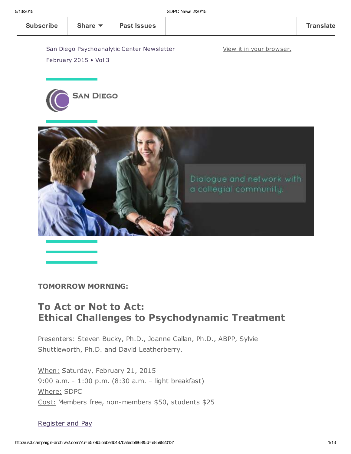View it in your [browser.](http://us3.campaign-archive2.com/?u=e579b5babe4b487bafecbf868&id=e859920131&e=[UNIQID])

San Diego Psychoanalytic Center Newsletter February 2015 • Vol 3





#### TOMORROW MORNING:

### To Act or Not to Act: Ethical Challenges to Psychodynamic Treatment

Presenters: Steven Bucky, Ph.D., Joanne Callan, Ph.D., ABPP, Sylvie Shuttleworth, Ph.D. and David Leatherberry.

When: Saturday, February 21, 2015 9:00 a.m. - 1:00 p.m. (8:30 a.m. – light breakfast) Where: SDPC Cost: Members free, non-members \$50, students \$25

#### [Register](http://www.sdpsychoanalyticcenter.org/register-and-pay-online) and Pay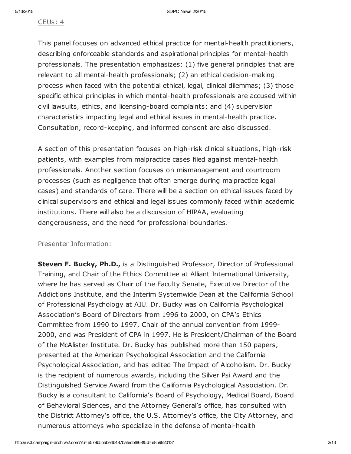#### CEUs: 4

This panel focuses on advanced ethical practice for mental-health practitioners, describing enforceable standards and aspirational principles for mental-health professionals. The presentation emphasizes: (1) five general principles that are relevant to all mental-health professionals; (2) an ethical decision-making process when faced with the potential ethical, legal, clinical dilemmas; (3) those specific ethical principles in which mental-health professionals are accused within civil lawsuits, ethics, and licensing-board complaints; and (4) supervision characteristics impacting legal and ethical issues in mental-health practice. Consultation, record-keeping, and informed consent are also discussed.

A section of this presentation focuses on high-risk clinical situations, high-risk patients, with examples from malpractice cases filed against mental-health professionals. Another section focuses on mismanagement and courtroom processes (such as negligence that often emerge during malpractice legal cases) and standards of care. There will be a section on ethical issues faced by clinical supervisors and ethical and legal issues commonly faced within academic institutions. There will also be a discussion of HIPAA, evaluating dangerousness, and the need for professional boundaries.

#### Presenter Information:

Steven F. Bucky, Ph.D., is a Distinguished Professor, Director of Professional Training, and Chair of the Ethics Committee at Alliant International University, where he has served as Chair of the Faculty Senate, Executive Director of the Addictions Institute, and the Interim Systemwide Dean at the California School of Professional Psychology at AIU. Dr. Bucky was on California Psychological Association's Board of Directors from 1996 to 2000, on CPA's Ethics Committee from 1990 to 1997, Chair of the annual convention from 1999- 2000, and was President of CPA in 1997. He is President/Chairman of the Board of the McAlister Institute. Dr. Bucky has published more than 150 papers, presented at the American Psychological Association and the California Psychological Association, and has edited The Impact of Alcoholism. Dr. Bucky is the recipient of numerous awards, including the Silver Psi Award and the Distinguished Service Award from the California Psychological Association. Dr. Bucky is a consultant to California's Board of Psychology, Medical Board, Board of Behavioral Sciences, and the Attorney General's office, has consulted with the District Attorney's office, the U.S. Attorney's office, the City Attorney, and numerous attorneys who specialize in the defense of mental-health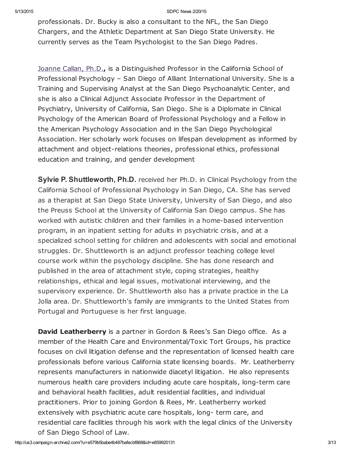professionals. Dr. Bucky is also a consultant to the NFL, the San Diego Chargers, and the Athletic Department at San Diego State University. He currently serves as the Team Psychologist to the San Diego Padres.

[Joanne](http://www.sdpsychoanalyticcenter.org/members/profiles/19#profile-main) Callan, Ph.D., is a Distinguished Professor in the California School of Professional Psychology – San Diego of Alliant International University. She is a Training and Supervising Analyst at the San Diego Psychoanalytic Center, and she is also a Clinical Adjunct Associate Professor in the Department of Psychiatry, University of California, San Diego. She is a Diplomate in Clinical Psychology of the American Board of Professional Psychology and a Fellow in the American Psychology Association and in the San Diego Psychological Association. Her scholarly work focuses on lifespan development as informed by attachment and object-relations theories, professional ethics, professional education and training, and gender development

Sylvie P. Shuttleworth, Ph.D. received her Ph.D. in Clinical Psychology from the California School of Professional Psychology in San Diego, CA. She has served as a therapist at San Diego State University, University of San Diego, and also the Preuss School at the University of California San Diego campus. She has worked with autistic children and their families in a home-based intervention program, in an inpatient setting for adults in psychiatric crisis, and at a specialized school setting for children and adolescents with social and emotional struggles. Dr. Shuttleworth is an adjunct professor teaching college level course work within the psychology discipline. She has done research and published in the area of attachment style, coping strategies, healthy relationships, ethical and legal issues, motivational interviewing, and the supervisory experience. Dr. Shuttleworth also has a private practice in the La Jolla area. Dr. Shuttleworth's family are immigrants to the United States from Portugal and Portuguese is her first language.

**David Leatherberry** is a partner in Gordon & Rees's San Diego office. As a member of the Health Care and Environmental/Toxic Tort Groups, his practice focuses on civil litigation defense and the representation of licensed health care professionals before various California state licensing boards. Mr. Leatherberry represents manufacturers in nationwide diacetyl litigation. He also represents numerous health care providers including acute care hospitals, long-term care and behavioral health facilities, adult residential facilities, and individual practitioners. Prior to joining Gordon & Rees, Mr. Leatherberry worked extensively with psychiatric acute care hospitals, long- term care, and residential care facilities through his work with the legal clinics of the University of San Diego School of Law.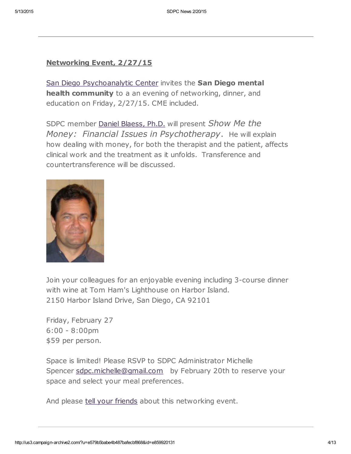### Networking Event, 2/27/15

San Diego [Psychoanalytic](http://www.sdpsychoanalyticcenter.org/) Center invites the San Diego mental health community to a an evening of networking, dinner, and education on Friday, 2/27/15. CME included.

SDPC member Daniel [Blaess,](http://www.sdpsychoanalyticcenter.org/members/profiles/32#profile-main) Ph.D. will present Show Me the Money: Financial Issues in Psychotherapy. He will explain how dealing with money, for both the therapist and the patient, affects clinical work and the treatment as it unfolds. Transference and countertransference will be discussed.



Join your colleagues for an enjoyable evening including 3-course dinner with wine at Tom Ham's Lighthouse on Harbor Island. 2150 Harbor Island Drive, San Diego, CA 92101

Friday, February 27 6:00 - 8:00pm \$59 per person.

Space is limited! Please RSVP to SDPC Administrator Michelle Spencer [sdpc.michelle@gmail.com](mailto:sdpc.michelle@gmail.com) by February 20th to reserve your space and select your meal preferences.

And please tell your [friends](mailto:?subject=Show%20me%20the%20money%20-%20SDPC%20networking%20event%202%2F27%2F15&body=Greetings.%20Check%20out%20this%20upcoming%20networking%20event%20open%20to%20any%20San%20Diego%20mental%20health%20professional.%20%0A___%0ASan%20Diego%20Psychoanalytic%20Center%20invites%20the%20San%20Diego%20mental%20health%20community%20to%20a%20an%20evening%20of%20networking%2C%20dinner%2C%20and%20education%20on%20Friday%2C%202%2F27%2F15.%20CME%20included.%20%20%0A%20%0ASDPC%20member%20Daniel%20Blaess%2C%20Ph.D.%20will%20present%20Show%20Me%20the%20Money%3A%20%20Financial%20Issues%20in%20Psychotherapy.%20%20He%20will%20explain%20how%20dealing%20with%20money%2C%20for%20both%20the%20therapist%20and%20the%20patient%2C%20affects%20clinical%20work%20and%20the%20treatment%20as%20it%20unfolds.%20%20Transference%20and%20countertransference%20will%20be%20discussed.%0A%20%0AJoin%20your%20colleagues%20for%20an%20enjoyable%20evening%20including%203-course%20dinner%20with%20wine%20at%20Tom%20Ham%27s%20Lighthouse%20on%20Harbor%20Island.%0A2150%20Harbor%20Island%20Drive%2C%20San%20Diego%2C%20CA%2092101%0A%20%0AFriday%2C%20February%2027%0A6%3A00%20-%208%3A00pm%0A%2459%20per%20person.%0A%20%0ASpace%20is%20limited!%20Please%20RSVP%20to%20SDPC%20Administrator%20Michelle%20Spencer%20sdpc.michelle%40gmail.com%20%20%20by%20February%2020th%20to%20reserve%20your%20space%20and%20select%20your%20meal%20preferences.%20%0A%0AAnd%20please%20tell%20your%20friends%20about%20this%20networking%20event.%20) about this networking event.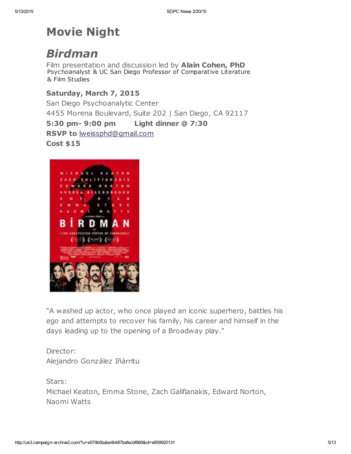# Movie Night

# Birdman

Film presentation and discussion led by Alain Cohen, PhD Psychoanalyst & UC San Diego Professor of Comparative Literature & Film Studies

### Saturday, March 7, 2015

San Diego Psychoanalytic Center 4455 Morena Boulevard, Suite 202 | San Diego, CA 92117

5:30 pm- 9:00 pm Light dinner @ 7:30

RSVP to [lweissphd@gmail.com](mailto:lweissphd@gmail.com)

Cost \$15



"A washed up actor, who once played an iconic superhero, battles his ego and attempts to recover his family, his career and himself in the days leading up to the opening of a Broadway play."

Director: Alejandro González Iñárritu

Stars: Michael Keaton, Emma Stone, Zach Galifianakis, Edward Norton, Naomi Watts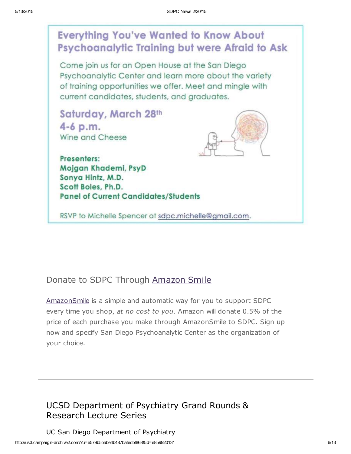## **Everything You've Wanted to Know About Psychoanalytic Training but were Afraid to Ask**

Come join us for an Open House at the San Diego Psychoanalytic Center and learn more about the variety of training opportunities we offer. Meet and mingle with current candidates, students, and graduates.

Saturday, March 28th 4-6 p.m. Wine and Cheese



Presenters: Mojgan Khademi, PsyD Sonya Hintz, M.D. Scott Boles, Ph.D. **Panel of Current Candidates/Students** 

RSVP to Michelle Spencer at sdpc.michelle@gmail.com.

## Donate to SDPC Through [Amazon](http://www.sdpsychoanalyticcenter.org/node/395#overlay-context=node/395) Smile

[AmazonSmile](http://smile.amazon.com/about) is a simple and automatic way for you to support SDPC every time you shop, at no cost to you. Amazon will donate 0.5% of the price of each purchase you make through AmazonSmile to SDPC. Sign up now and specify San Diego Psychoanalytic Center as the organization of your choice.

## UCSD Department of Psychiatry Grand Rounds & Research Lecture Series

http://us3.campaign-archive2.com/?u=e579b5babe4b487bafecbf868&id=e859920131 6/13 UC San Diego Department of Psychiatry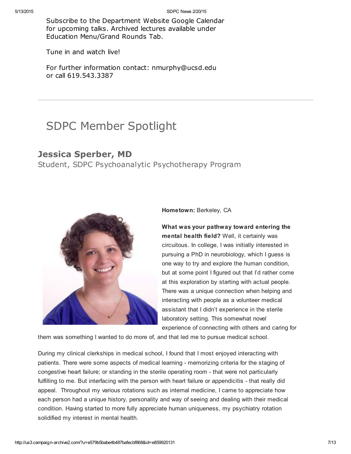Subscribe to the Department Website Google Calendar for upcoming talks. Archived lectures available under Education Menu/Grand Rounds Tab.

Tune in and watch live!

For further information contact: nmurphy@ucsd.edu or call 619.543.3387

## SDPC Member Spotlight

### Jessica Sperber, MD

Student, SDPC Psychoanalytic Psychotherapy Program



Hometown: Berkeley, CA

What was your pathway toward entering the mental health field? Well, it certainly was circuitous. In college, I was initially interested in pursuing a PhD in neurobiology, which I guess is one way to try and explore the human condition, but at some point I figured out that I'd rather come at this exploration by starting with actual people. There was a unique connection when helping and interacting with people as a volunteer medical assistant that I didn't experience in the sterile laboratory setting. This somewhat novel experience of connecting with others and caring for

them was something I wanted to do more of, and that led me to pursue medical school.

During my clinical clerkships in medical school, I found that I most enjoyed interacting with patients. There were some aspects of medical learning - memorizing criteria for the staging of congestive heart failure; or standing in the sterile operating room - that were not particularly fulfilling to me. But interfacing with the person with heart failure or appendicitis - that really did appeal. Throughout my various rotations such as internal medicine, I came to appreciate how each person had a unique history, personality and way of seeing and dealing with their medical condition. Having started to more fully appreciate human uniqueness, my psychiatry rotation solidified my interest in mental health.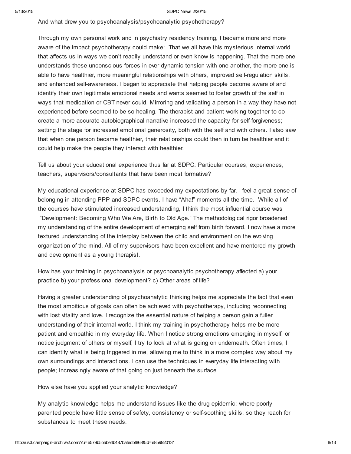And what drew you to psychoanalysis/psychoanalytic psychotherapy?

Through my own personal work and in psychiatry residency training, I became more and more aware of the impact psychotherapy could make: That we all have this mysterious internal world that affects us in ways we don't readily understand or even know is happening. That the more one understands these unconscious forces in ever-dynamic tension with one another, the more one is able to have healthier, more meaningful relationships with others, improved self-regulation skills, and enhanced self-awareness. I began to appreciate that helping people become aware of and identify their own legitimate emotional needs and wants seemed to foster growth of the self in ways that medication or CBT never could. Mirroring and validating a person in a way they have not experienced before seemed to be so healing. The therapist and patient working together to cocreate a more accurate autobiographical narrative increased the capacity for self-forgiveness; setting the stage for increased emotional generosity, both with the self and with others. I also saw that when one person became healthier, their relationships could then in turn be healthier and it could help make the people they interact with healthier.

Tell us about your educational experience thus far at SDPC: Particular courses, experiences, teachers, supervisors/consultants that have been most formative?

My educational experience at SDPC has exceeded my expectations by far. I feel a great sense of belonging in attending PPP and SDPC events. I have "Aha!" moments all the time. While all of the courses have stimulated increased understanding, I think the most influential course was "Development: Becoming Who We Are, Birth to Old Age." The methodological rigor broadened my understanding of the entire development of emerging self from birth forward. I now have a more textured understanding of the interplay between the child and environment on the evolving organization of the mind. All of my supervisors have been excellent and have mentored my growth and development as a young therapist.

How has your training in psychoanalysis or psychoanalytic psychotherapy affected a) your practice b) your professional development? c) Other areas of life?

Having a greater understanding of psychoanalytic thinking helps me appreciate the fact that even the most ambitious of goals can often be achieved with psychotherapy, including reconnecting with lost vitality and love. I recognize the essential nature of helping a person gain a fuller understanding of their internal world. I think my training in psychotherapy helps me be more patient and empathic in my everyday life. When I notice strong emotions emerging in myself, or notice judgment of others or myself, I try to look at what is going on underneath. Often times, I can identify what is being triggered in me, allowing me to think in a more complex way about my own surroundings and interactions. I can use the techniques in everyday life interacting with people; increasingly aware of that going on just beneath the surface.

How else have you applied your analytic knowledge?

My analytic knowledge helps me understand issues like the drug epidemic; where poorly parented people have little sense of safety, consistency or self-soothing skills, so they reach for substances to meet these needs.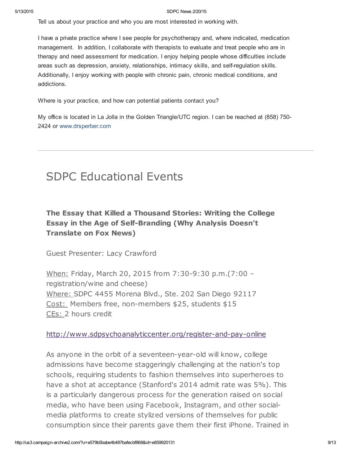Tell us about your practice and who you are most interested in working with.

I have a private practice where I see people for psychotherapy and, where indicated, medication management. In addition, I collaborate with therapists to evaluate and treat people who are in therapy and need assessment for medication. I enjoy helping people whose difficulties include areas such as depression, anxiety, relationships, intimacy skills, and self-regulation skills. Additionally, I enjoy working with people with chronic pain, chronic medical conditions, and addictions.

Where is your practice, and how can potential patients contact you?

My office is located in La Jolla in the Golden Triangle/UTC region. I can be reached at (858) 750- 2424 or [www.drsperber.com](http://www.drsperber.com/)

## SDPC Educational Events

### The Essay that Killed a Thousand Stories: Writing the College Essay in the Age of Self-Branding (Why Analysis Doesn't Translate on Fox News)

Guest Presenter: Lacy Crawford

When: Friday, March 20, 2015 from 7:30-9:30 p.m.(7:00 – registration/wine and cheese) Where: SDPC 4455 Morena Blvd., Ste. 202 San Diego 92117 Cost: Members free, non-members \$25, students \$15 CEs: 2 hours credit

<http://www.sdpsychoanalyticcenter.org/register-and-pay-online>

As anyone in the orbit of a seventeen-year-old will know, college admissions have become staggeringly challenging at the nation's top schools, requiring students to fashion themselves into superheroes to have a shot at acceptance (Stanford's 2014 admit rate was 5%). This is a particularly dangerous process for the generation raised on social media, who have been using Facebook, Instagram, and other socialmedia platforms to create stylized versions of themselves for public consumption since their parents gave them their first iPhone. Trained in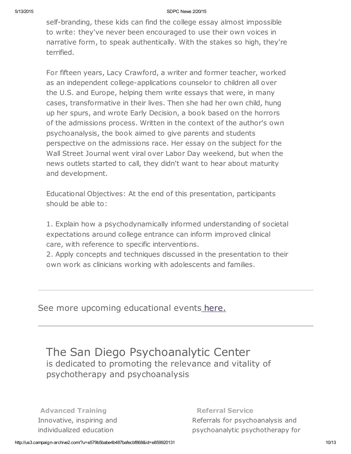self-branding, these kids can find the college essay almost impossible to write: they've never been encouraged to use their own voices in narrative form, to speak authentically. With the stakes so high, they're terrified.

For fifteen years, Lacy Crawford, a writer and former teacher, worked as an independent college-applications counselor to children all over the U.S. and Europe, helping them write essays that were, in many cases, transformative in their lives. Then she had her own child, hung up her spurs, and wrote Early Decision, a book based on the horrors of the admissions process. Written in the context of the author's own psychoanalysis, the book aimed to give parents and students perspective on the admissions race. Her essay on the subject for the Wall Street Journal went viral over Labor Day weekend, but when the news outlets started to call, they didn't want to hear about maturity and development.

Educational Objectives: At the end of this presentation, participants should be able to:

1. Explain how a psychodynamically informed understanding of societal expectations around college entrance can inform improved clinical care, with reference to specific interventions.

2. Apply concepts and techniques discussed in the presentation to their own work as clinicians working with adolescents and families.

See more upcoming educational events [here.](http://www.sdpsychoanalyticcenter.org/community-connections/upcoming-events)

The San Diego Psychoanalytic Center is dedicated to promoting the relevance and vitality of psychotherapy and psychoanalysis

Advanced Training Innovative, inspiring and individualized education

Referral Service Referrals for psychoanalysis and psychoanalytic psychotherapy for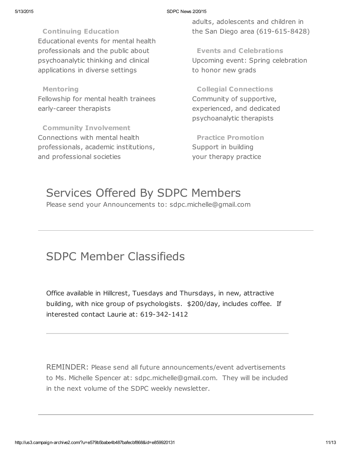Continuing Education Educational events for mental health professionals and the public about psychoanalytic thinking and clinical applications in diverse settings

Mentoring Fellowship for mental health trainees early-career therapists

Community Involvement Connections with mental health professionals, academic institutions, and professional societies

adults, adolescents and children in the San Diego area (619-615-8428)

Events and Celebrations Upcoming event: Spring celebration to honor new grads

Collegial Connections Community of supportive, experienced, and dedicated psychoanalytic therapists

Practice Promotion Support in building your therapy practice

# Services Offered By SDPC Members

Please send your Announcements to: sdpc.michelle@gmail.com

## SDPC Member Classifieds

Office available in Hillcrest, Tuesdays and Thursdays, in new, attractive building, with nice group of psychologists. \$200/day, includes coffee. If interested contact Laurie at: 619-342-1412

REMINDER: Please send all future announcements/event advertisements to Ms. Michelle Spencer at: sdpc.michelle@gmail.com. They will be included in the next volume of the SDPC weekly newsletter.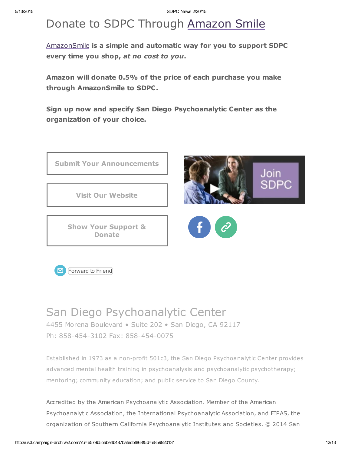# Donate to SDPC Through [Amazon](http://www.sdpsychoanalyticcenter.org/node/395#overlay-context=node/395) Smile

[AmazonSmile](http://smile.amazon.com/about) is a simple and automatic way for you to support SDPC every time you shop, at no cost to you.

Amazon will donate 0.5% of the price of each purchase you make through AmazonSmile to SDPC.

Sign up now and specify San Diego Psychoanalytic Center as the organization of your choice.





## San Diego Psychoanalytic Center

4455 Morena Boulevard • Suite 202 • San Diego, CA 92117 Ph: 858-454-3102 Fax: 858-454-0075

Established in 1973 as a non-profit 501c3, the San Diego Psychoanalytic Center provides advanced mental health training in psychoanalysis and psychoanalytic psychotherapy; mentoring; community education; and public service to San Diego County.

Accredited by the American Psychoanalytic Association. Member of the American Psychoanalytic Association, the International Psychoanalytic Association, and FIPAS, the organization of Southern California Psychoanalytic Institutes and Societies. © 2014 San